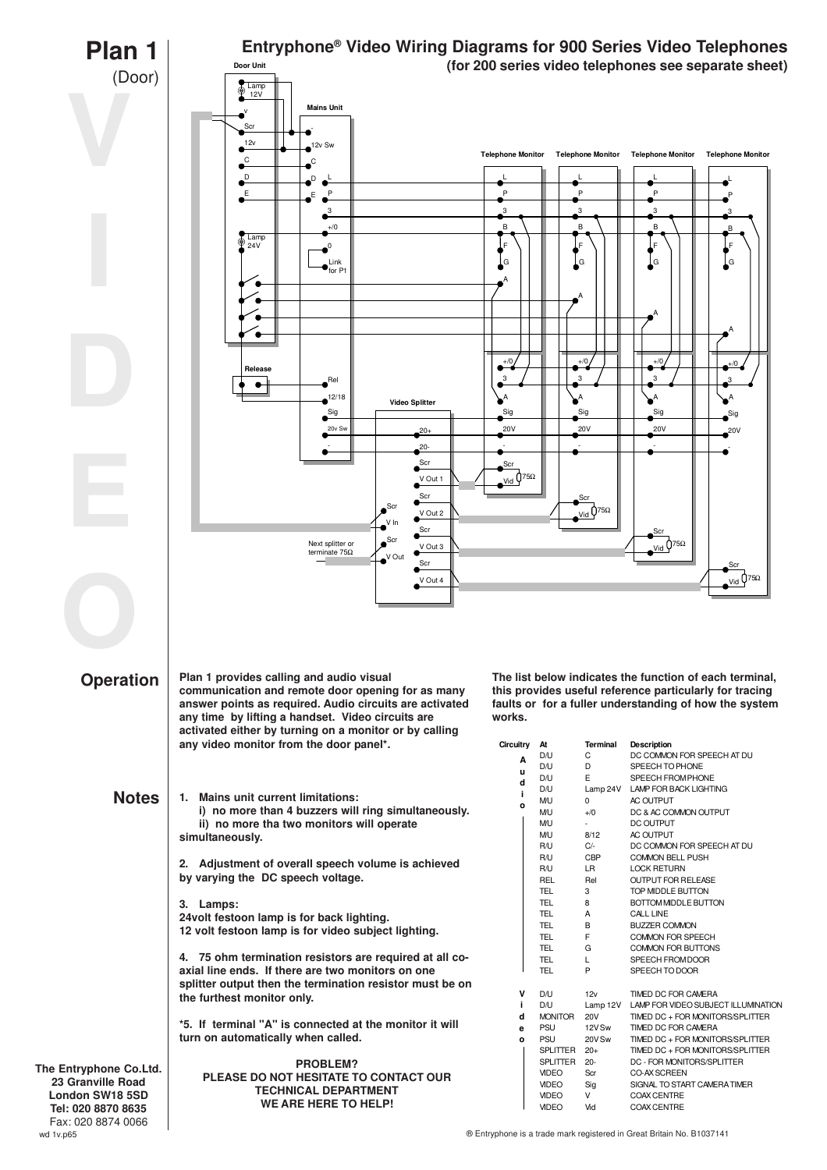

® Entryphone is a trade mark registered in Great Britain No. B1037141